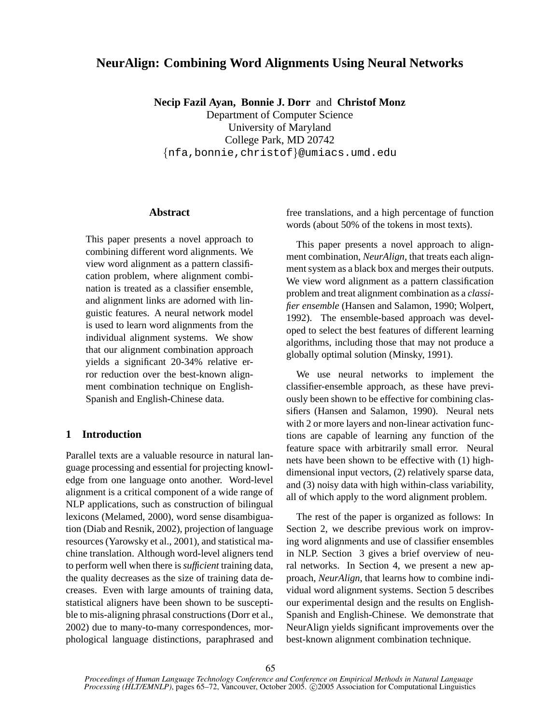# **NeurAlign: Combining Word Alignments Using Neural Networks**

**Necip Fazil Ayan, Bonnie J. Dorr** and **Christof Monz**

Department of Computer Science University of Maryland College Park, MD 20742 {nfa,bonnie,christof}@umiacs.umd.edu

### **Abstract**

This paper presents a novel approach to combining different word alignments. We view word alignment as a pattern classification problem, where alignment combination is treated as a classifier ensemble, and alignment links are adorned with linguistic features. A neural network model is used to learn word alignments from the individual alignment systems. We show that our alignment combination approach yields a significant 20-34% relative error reduction over the best-known alignment combination technique on English-Spanish and English-Chinese data.

# **1 Introduction**

Parallel texts are a valuable resource in natural language processing and essential for projecting knowledge from one language onto another. Word-level alignment is a critical component of a wide range of NLP applications, such as construction of bilingual lexicons (Melamed, 2000), word sense disambiguation (Diab and Resnik, 2002), projection of language resources (Yarowsky et al., 2001), and statistical machine translation. Although word-level aligners tend to perform well when there is *sufficient* training data, the quality decreases as the size of training data decreases. Even with large amounts of training data, statistical aligners have been shown to be susceptible to mis-aligning phrasal constructions (Dorr et al., 2002) due to many-to-many correspondences, morphological language distinctions, paraphrased and free translations, and a high percentage of function words (about 50% of the tokens in most texts).

This paper presents a novel approach to alignment combination, *NeurAlign*, that treats each alignment system as a black box and merges their outputs. We view word alignment as a pattern classification problem and treat alignment combination as a *classifier ensemble* (Hansen and Salamon, 1990; Wolpert, 1992). The ensemble-based approach was developed to select the best features of different learning algorithms, including those that may not produce a globally optimal solution (Minsky, 1991).

We use neural networks to implement the classifier-ensemble approach, as these have previously been shown to be effective for combining classifiers (Hansen and Salamon, 1990). Neural nets with 2 or more layers and non-linear activation functions are capable of learning any function of the feature space with arbitrarily small error. Neural nets have been shown to be effective with (1) highdimensional input vectors, (2) relatively sparse data, and (3) noisy data with high within-class variability, all of which apply to the word alignment problem.

The rest of the paper is organized as follows: In Section 2, we describe previous work on improving word alignments and use of classifier ensembles in NLP. Section 3 gives a brief overview of neural networks. In Section 4, we present a new approach, *NeurAlign*, that learns how to combine individual word alignment systems. Section 5 describes our experimental design and the results on English-Spanish and English-Chinese. We demonstrate that NeurAlign yields significant improvements over the best-known alignment combination technique.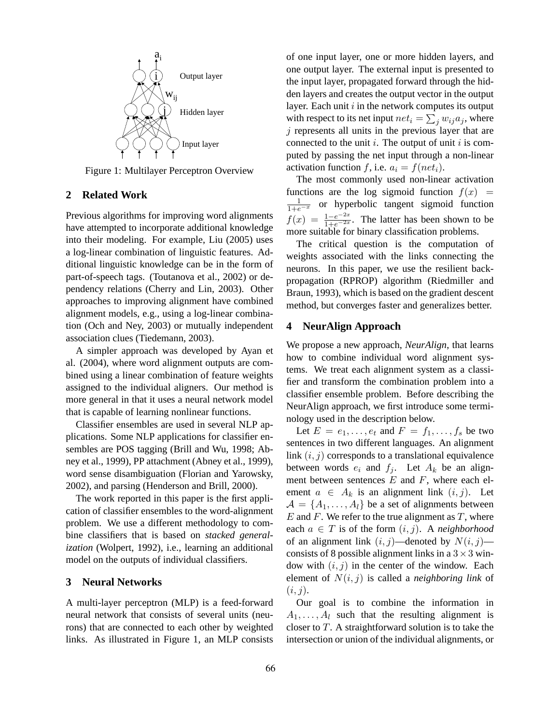

Figure 1: Multilayer Perceptron Overview

### **2 Related Work**

Previous algorithms for improving word alignments have attempted to incorporate additional knowledge into their modeling. For example, Liu (2005) uses a log-linear combination of linguistic features. Additional linguistic knowledge can be in the form of part-of-speech tags. (Toutanova et al., 2002) or dependency relations (Cherry and Lin, 2003). Other approaches to improving alignment have combined alignment models, e.g., using a log-linear combination (Och and Ney, 2003) or mutually independent association clues (Tiedemann, 2003).

A simpler approach was developed by Ayan et al. (2004), where word alignment outputs are combined using a linear combination of feature weights assigned to the individual aligners. Our method is more general in that it uses a neural network model that is capable of learning nonlinear functions.

Classifier ensembles are used in several NLP applications. Some NLP applications for classifier ensembles are POS tagging (Brill and Wu, 1998; Abney et al., 1999), PP attachment (Abney et al., 1999), word sense disambiguation (Florian and Yarowsky, 2002), and parsing (Henderson and Brill, 2000).

The work reported in this paper is the first application of classifier ensembles to the word-alignment problem. We use a different methodology to combine classifiers that is based on *stacked generalization* (Wolpert, 1992), i.e., learning an additional model on the outputs of individual classifiers.

# **3 Neural Networks**

A multi-layer perceptron (MLP) is a feed-forward neural network that consists of several units (neurons) that are connected to each other by weighted links. As illustrated in Figure 1, an MLP consists of one input layer, one or more hidden layers, and one output layer. The external input is presented to the input layer, propagated forward through the hidden layers and creates the output vector in the output layer. Each unit  $i$  in the network computes its output with respect to its net input  $net_i = \sum_j w_{ij} a_j$ , where  $j$  represents all units in the previous layer that are connected to the unit  $i$ . The output of unit  $i$  is computed by passing the net input through a non-linear activation function f, i.e.  $a_i = f(net_i)$ .

The most commonly used non-linear activation functions are the log sigmoid function  $f(x) =$  $\frac{1}{1+e^{-x}}$  or hyperbolic tangent sigmoid function  $f(x) = \frac{1-e^{-2x}}{1+e^{-2x}}$ . The latter has been shown to be more suitable for binary classification problems.

The critical question is the computation of weights associated with the links connecting the neurons. In this paper, we use the resilient backpropagation (RPROP) algorithm (Riedmiller and Braun, 1993), which is based on the gradient descent method, but converges faster and generalizes better.

# **4 NeurAlign Approach**

We propose a new approach, *NeurAlign*, that learns how to combine individual word alignment systems. We treat each alignment system as a classifier and transform the combination problem into a classifier ensemble problem. Before describing the NeurAlign approach, we first introduce some terminology used in the description below.

Let  $E = e_1, \ldots, e_t$  and  $F = f_1, \ldots, f_s$  be two sentences in two different languages. An alignment link  $(i, j)$  corresponds to a translational equivalence between words  $e_i$  and  $f_j$ . Let  $A_k$  be an alignment between sentences  $E$  and  $F$ , where each element  $a \in A_k$  is an alignment link  $(i, j)$ . Let  $A = \{A_1, \ldots, A_l\}$  be a set of alignments between  $E$  and  $F$ . We refer to the true alignment as  $T$ , where each  $a \in T$  is of the form  $(i, j)$ . A *neighborhood* of an alignment link  $(i, j)$ —denoted by  $N(i, j)$  consists of 8 possible alignment links in a  $3 \times 3$  window with  $(i, j)$  in the center of the window. Each element of N(i, j) is called a *neighboring link* of  $(i, j)$ .

Our goal is to combine the information in  $A_1, \ldots, A_l$  such that the resulting alignment is closer to  $T$ . A straightforward solution is to take the intersection or union of the individual alignments, or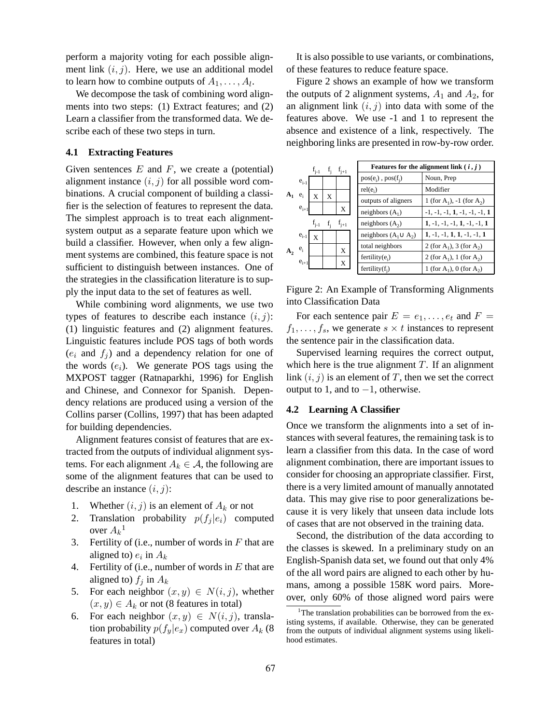perform a majority voting for each possible alignment link  $(i, j)$ . Here, we use an additional model to learn how to combine outputs of  $A_1, \ldots, A_l$ .

We decompose the task of combining word alignments into two steps: (1) Extract features; and (2) Learn a classifier from the transformed data. We describe each of these two steps in turn.

# **4.1 Extracting Features**

Given sentences  $E$  and  $F$ , we create a (potential) alignment instance  $(i, j)$  for all possible word combinations. A crucial component of building a classifier is the selection of features to represent the data. The simplest approach is to treat each alignmentsystem output as a separate feature upon which we build a classifier. However, when only a few alignment systems are combined, this feature space is not sufficient to distinguish between instances. One of the strategies in the classification literature is to supply the input data to the set of features as well.

While combining word alignments, we use two types of features to describe each instance  $(i, j)$ : (1) linguistic features and (2) alignment features. Linguistic features include POS tags of both words  $(e_i$  and  $f_i$ ) and a dependency relation for one of the words  $(e_i)$ . We generate POS tags using the MXPOST tagger (Ratnaparkhi, 1996) for English and Chinese, and Connexor for Spanish. Dependency relations are produced using a version of the Collins parser (Collins, 1997) that has been adapted for building dependencies.

Alignment features consist of features that are extracted from the outputs of individual alignment systems. For each alignment  $A_k \in \mathcal{A}$ , the following are some of the alignment features that can be used to describe an instance  $(i, j)$ :

- 1. Whether  $(i, j)$  is an element of  $A_k$  or not
- 2. Translation probability  $p(f_j | e_i)$  computed over  $A_k$ <sup>1</sup>
- 3. Fertility of (i.e., number of words in  $F$  that are aligned to)  $e_i$  in  $A_k$
- 4. Fertility of (i.e., number of words in  $E$  that are aligned to)  $f_j$  in  $A_k$
- 5. For each neighbor  $(x, y) \in N(i, j)$ , whether  $(x, y) \in A_k$  or not (8 features in total)
- 6. For each neighbor  $(x, y) \in N(i, j)$ , translation probability  $p(f_y|e_x)$  computed over  $A_k$  (8) features in total)

It is also possible to use variants, or combinations, of these features to reduce feature space.

Figure 2 shows an example of how we transform the outputs of 2 alignment systems,  $A_1$  and  $A_2$ , for an alignment link  $(i, j)$  into data with some of the features above. We use -1 and 1 to represent the absence and existence of a link, respectively. The neighboring links are presented in row-by-row order.



Figure 2: An Example of Transforming Alignments into Classification Data

For each sentence pair  $E = e_1, \ldots, e_t$  and  $F =$  $f_1, \ldots, f_s$ , we generate  $s \times t$  instances to represent the sentence pair in the classification data.

Supervised learning requires the correct output, which here is the true alignment  $T$ . If an alignment link  $(i, j)$  is an element of T, then we set the correct output to 1, and to  $-1$ , otherwise.

### **4.2 Learning A Classifier**

Once we transform the alignments into a set of instances with several features, the remaining task is to learn a classifier from this data. In the case of word alignment combination, there are important issues to consider for choosing an appropriate classifier. First, there is a very limited amount of manually annotated data. This may give rise to poor generalizations because it is very likely that unseen data include lots of cases that are not observed in the training data.

Second, the distribution of the data according to the classes is skewed. In a preliminary study on an English-Spanish data set, we found out that only 4% of the all word pairs are aligned to each other by humans, among a possible 158K word pairs. Moreover, only 60% of those aligned word pairs were

<sup>&</sup>lt;sup>1</sup>The translation probabilities can be borrowed from the existing systems, if available. Otherwise, they can be generated from the outputs of individual alignment systems using likelihood estimates.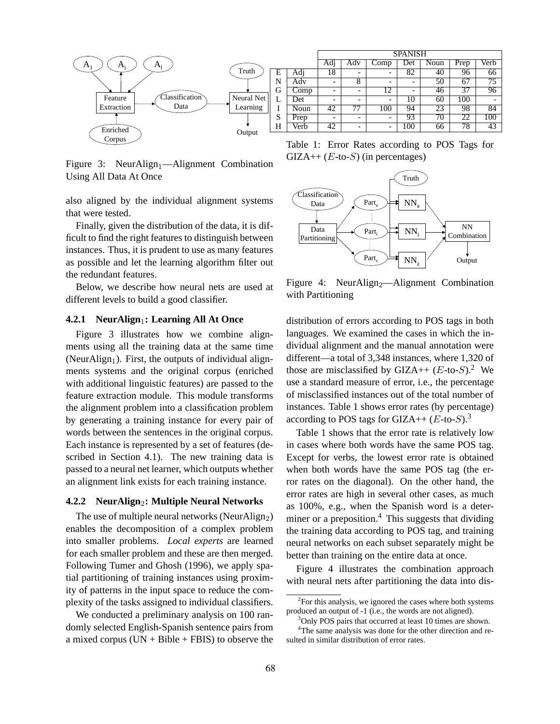

Figure 3: NeurAlign<sub>1</sub>—Alignment Combination Using All Data At Once

also aligned by the individual alignment systems that were tested.

Finally, given the distribution of the data, it is difficult to find the right features to distinguish between instances. Thus, it is prudent to use as many features as possible and let the learning algorithm filter out the redundant features.

Below, we describe how neural nets are used at different levels to build a good classifier.

### **4.2.1 NeurAlign1: Learning All At Once**

Figure 3 illustrates how we combine alignments using all the training data at the same time (NeurAlign<sub>1</sub>). First, the outputs of individual alignments systems and the original corpus (enriched with additional linguistic features) are passed to the feature extraction module. This module transforms the alignment problem into a classification problem by generating a training instance for every pair of words between the sentences in the original corpus. Each instance is represented by a set of features (described in Section 4.1). The new training data is passed to a neural net learner, which outputs whether an alignment link exists for each training instance.

#### **4.2.2 NeurAlign**2**: Multiple Neural Networks**

The use of multiple neural networks (NeurAlign<sub>2</sub>) enables the decomposition of a complex problem into smaller problems. *Local experts* are learned for each smaller problem and these are then merged. Following Tumer and Ghosh (1996), we apply spatial partitioning of training instances using proximity of patterns in the input space to reduce the complexity of the tasks assigned to individual classifiers.

We conducted a preliminary analysis on 100 randomly selected English-Spanish sentence pairs from a mixed corpus  $(UN + Bible + FBIS)$  to observe the

Table 1: Error Rates according to POS Tags for  $GIZA++ (E-to-S)$  (in percentages)



Figure 4: NeurAlign<sub>2</sub>—Alignment Combination with Partitioning

distribution of errors according to POS tags in both languages. We examined the cases in which the individual alignment and the manual annotation were different—a total of 3,348 instances, where 1,320 of those are misclassified by GIZA++  $(E$ -to- $S$ ).<sup>2</sup> We use a standard measure of error, i.e., the percentage of misclassified instances out of the total number of instances. Table 1 shows error rates (by percentage) according to POS tags for GIZA++  $(E$ -to- $S$ ).<sup>3</sup>

Table 1 shows that the error rate is relatively low in cases where both words have the same POS tag. Except for verbs, the lowest error rate is obtained when both words have the same POS tag (the error rates on the diagonal). On the other hand, the error rates are high in several other cases, as much as 100%, e.g., when the Spanish word is a determiner or a preposition.<sup>4</sup> This suggests that dividing the training data according to POS tag, and training neural networks on each subset separately might be better than training on the entire data at once.

Figure 4 illustrates the combination approach with neural nets after partitioning the data into dis-

 ${}^{2}$ For this analysis, we ignored the cases where both systems produced an output of -1 (i.e., the words are not aligned).

<sup>&</sup>lt;sup>3</sup>Only POS pairs that occurred at least 10 times are shown.

<sup>&</sup>lt;sup>4</sup>The same analysis was done for the other direction and resulted in similar distribution of error rates.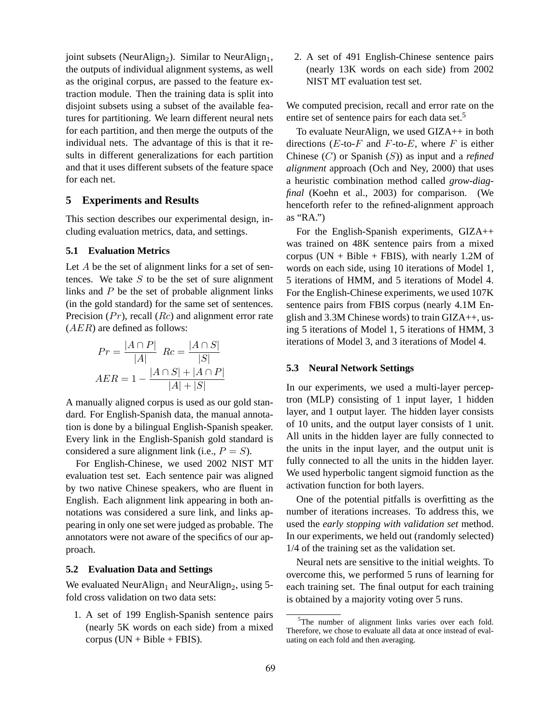joint subsets (NeurAlign<sub>2</sub>). Similar to NeurAlign<sub>1</sub>, the outputs of individual alignment systems, as well as the original corpus, are passed to the feature extraction module. Then the training data is split into disjoint subsets using a subset of the available features for partitioning. We learn different neural nets for each partition, and then merge the outputs of the individual nets. The advantage of this is that it results in different generalizations for each partition and that it uses different subsets of the feature space for each net.

# **5 Experiments and Results**

This section describes our experimental design, including evaluation metrics, data, and settings.

### **5.1 Evaluation Metrics**

Let  $A$  be the set of alignment links for a set of sentences. We take  $S$  to be the set of sure alignment links and  $P$  be the set of probable alignment links (in the gold standard) for the same set of sentences. Precision  $(Pr)$ , recall  $(Rc)$  and alignment error rate  $(AER)$  are defined as follows:

$$
Pr = \frac{|A \cap P|}{|A|} \quad Re = \frac{|A \cap S|}{|S|}
$$

$$
AER = 1 - \frac{|A \cap S| + |A \cap P|}{|A| + |S|}
$$

A manually aligned corpus is used as our gold standard. For English-Spanish data, the manual annotation is done by a bilingual English-Spanish speaker. Every link in the English-Spanish gold standard is considered a sure alignment link (i.e.,  $P = S$ ).

For English-Chinese, we used 2002 NIST MT evaluation test set. Each sentence pair was aligned by two native Chinese speakers, who are fluent in English. Each alignment link appearing in both annotations was considered a sure link, and links appearing in only one set were judged as probable. The annotators were not aware of the specifics of our approach.

### **5.2 Evaluation Data and Settings**

We evaluated NeurAlign<sub>1</sub> and NeurAlign<sub>2</sub>, using 5fold cross validation on two data sets:

1. A set of 199 English-Spanish sentence pairs (nearly 5K words on each side) from a mixed corpus  $(UN + Bible + FBIS)$ .

2. A set of 491 English-Chinese sentence pairs (nearly 13K words on each side) from 2002 NIST MT evaluation test set.

We computed precision, recall and error rate on the entire set of sentence pairs for each data set.<sup>5</sup>

To evaluate NeurAlign, we used GIZA++ in both directions  $(E$ -to- $F$  and  $F$ -to- $E$ , where  $F$  is either Chinese (C) or Spanish (S)) as input and a *refined alignment* approach (Och and Ney, 2000) that uses a heuristic combination method called *grow-diagfinal* (Koehn et al., 2003) for comparison. (We henceforth refer to the refined-alignment approach as "RA.")

For the English-Spanish experiments, GIZA++ was trained on 48K sentence pairs from a mixed corpus (UN + Bible + FBIS), with nearly 1.2M of words on each side, using 10 iterations of Model 1, 5 iterations of HMM, and 5 iterations of Model 4. For the English-Chinese experiments, we used 107K sentence pairs from FBIS corpus (nearly 4.1M English and 3.3M Chinese words) to train GIZA++, using 5 iterations of Model 1, 5 iterations of HMM, 3 iterations of Model 3, and 3 iterations of Model 4.

### **5.3 Neural Network Settings**

In our experiments, we used a multi-layer perceptron (MLP) consisting of 1 input layer, 1 hidden layer, and 1 output layer. The hidden layer consists of 10 units, and the output layer consists of 1 unit. All units in the hidden layer are fully connected to the units in the input layer, and the output unit is fully connected to all the units in the hidden layer. We used hyperbolic tangent sigmoid function as the activation function for both layers.

One of the potential pitfalls is overfitting as the number of iterations increases. To address this, we used the *early stopping with validation set* method. In our experiments, we held out (randomly selected) 1/4 of the training set as the validation set.

Neural nets are sensitive to the initial weights. To overcome this, we performed 5 runs of learning for each training set. The final output for each training is obtained by a majority voting over 5 runs.

<sup>&</sup>lt;sup>5</sup>The number of alignment links varies over each fold. Therefore, we chose to evaluate all data at once instead of evaluating on each fold and then averaging.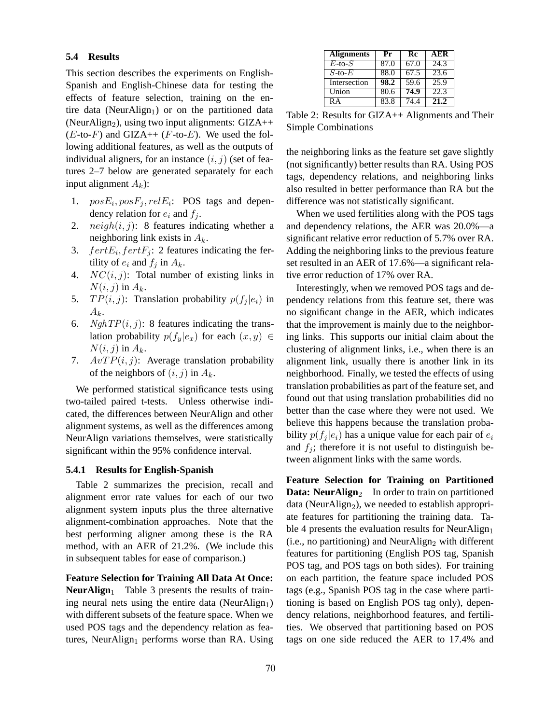### **5.4 Results**

This section describes the experiments on English-Spanish and English-Chinese data for testing the effects of feature selection, training on the entire data (NeurAlign<sub>1</sub>) or on the partitioned data (NeurAlign<sub>2</sub>), using two input alignments:  $GIZA++$  $(E$ -to- $F)$  and GIZA++  $(F$ -to- $E)$ . We used the following additional features, as well as the outputs of individual aligners, for an instance  $(i, j)$  (set of features 2–7 below are generated separately for each input alignment  $A_k$ ):

- 1.  $posE_i, posF_j, relE_i$ : POS tags and dependency relation for  $e_i$  and  $f_i$ .
- 2.  $neigh(i, j)$ : 8 features indicating whether a neighboring link exists in  $A_k$ .
- 3.  $fertE_i, fertF_j$ : 2 features indicating the fertility of  $e_i$  and  $f_i$  in  $A_k$ .
- 4.  $NC(i, j)$ : Total number of existing links in  $N(i, j)$  in  $A_k$ .
- 5.  $TP(i, j)$ : Translation probability  $p(f_j | e_i)$  in  $A_k$ .
- 6. *NghTP* $(i, j)$ : 8 features indicating the translation probability  $p(f_y|e_x)$  for each  $(x, y) \in$  $N(i, j)$  in  $A_k$ .
- 7.  $AvTP(i, j)$ : Average translation probability of the neighbors of  $(i, j)$  in  $A_k$ .

We performed statistical significance tests using two-tailed paired t-tests. Unless otherwise indicated, the differences between NeurAlign and other alignment systems, as well as the differences among NeurAlign variations themselves, were statistically significant within the 95% confidence interval.

#### **5.4.1 Results for English-Spanish**

Table 2 summarizes the precision, recall and alignment error rate values for each of our two alignment system inputs plus the three alternative alignment-combination approaches. Note that the best performing aligner among these is the RA method, with an AER of 21.2%. (We include this in subsequent tables for ease of comparison.)

**Feature Selection for Training All Data At Once: NeurAlign**<sub>1</sub> Table 3 presents the results of training neural nets using the entire data (NeurAlign<sub>1</sub>) with different subsets of the feature space. When we used POS tags and the dependency relation as features, NeurAlign<sub>1</sub> performs worse than RA. Using

| <b>Alignments</b> | Pr   | Rc   | AER  |  |
|-------------------|------|------|------|--|
|                   |      |      |      |  |
| $E$ -to- $S$      | 87.0 | 67.0 | 24.3 |  |
| $S$ -to- $E$      | 88.0 | 67.5 | 23.6 |  |
| Intersection      | 98.2 | 59.6 | 25.9 |  |
| Union             | 80.6 | 74.9 | 22.3 |  |
| RА                | 83.8 | 74 4 | 21.2 |  |

Table 2: Results for GIZA++ Alignments and Their Simple Combinations

the neighboring links as the feature set gave slightly (not significantly) better results than RA. Using POS tags, dependency relations, and neighboring links also resulted in better performance than RA but the difference was not statistically significant.

When we used fertilities along with the POS tags and dependency relations, the AER was 20.0%—a significant relative error reduction of 5.7% over RA. Adding the neighboring links to the previous feature set resulted in an AER of 17.6%—a significant relative error reduction of 17% over RA.

Interestingly, when we removed POS tags and dependency relations from this feature set, there was no significant change in the AER, which indicates that the improvement is mainly due to the neighboring links. This supports our initial claim about the clustering of alignment links, i.e., when there is an alignment link, usually there is another link in its neighborhood. Finally, we tested the effects of using translation probabilities as part of the feature set, and found out that using translation probabilities did no better than the case where they were not used. We believe this happens because the translation probability  $p(f_i | e_i)$  has a unique value for each pair of  $e_i$ and  $f_i$ ; therefore it is not useful to distinguish between alignment links with the same words.

**Feature Selection for Training on Partitioned Data: NeurAlign**<sub>2</sub> In order to train on partitioned data (NeurAlign<sub>2</sub>), we needed to establish appropriate features for partitioning the training data. Table 4 presents the evaluation results for NeurAlign<sub>1</sub>  $(i.e., no partitioning)$  and NeurAlign<sub>2</sub> with different features for partitioning (English POS tag, Spanish POS tag, and POS tags on both sides). For training on each partition, the feature space included POS tags (e.g., Spanish POS tag in the case where partitioning is based on English POS tag only), dependency relations, neighborhood features, and fertilities. We observed that partitioning based on POS tags on one side reduced the AER to 17.4% and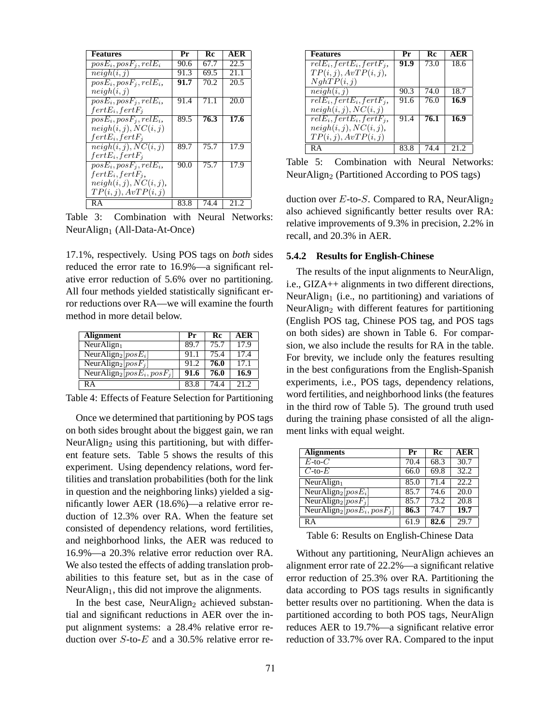| <b>Features</b>           | Pr   | Rc   | AER  |
|---------------------------|------|------|------|
| $posE_i, posF_j, relE_i$  | 90.6 | 67.7 | 22.5 |
| neigh(i, j)               | 91.3 | 69.5 | 21.1 |
| $posE_i, posF_i, relE_i,$ | 91.7 | 70.2 | 20.5 |
| neigh(i, j)               |      |      |      |
| $posE_i, posF_j, relE_i,$ | 91.4 | 71.1 | 20.0 |
| $fertE_i, fertF_i$        |      |      |      |
| $posE_i, posF_i, relE_i,$ | 89.5 | 76.3 | 17.6 |
| neigh(i, j), NC(i, j)     |      |      |      |
| $fertE_i, fertF_i$        |      |      |      |
| neigh(i, j), NC(i, j)     | 89.7 | 75.7 | 17.9 |
| $fertE_i, fertF_i$        |      |      |      |
| $posE_i, posF_j, relE_i,$ | 90.0 | 75.7 | 17.9 |
| $fertE_i, fertF_i,$       |      |      |      |
| neigh(i, j), NC(i, j),    |      |      |      |
| TP(i, j), AvTP(i, j)      |      |      |      |
| RA                        | 83.8 | 74.4 | 21.2 |

Table 3: Combination with Neural Networks: Neur $\text{Ali}$ gn<sub>1</sub> (All-Data-At-Once)

17.1%, respectively. Using POS tags on *both* sides reduced the error rate to 16.9%—a significant relative error reduction of 5.6% over no partitioning. All four methods yielded statistically significant error reductions over RA—we will examine the fourth method in more detail below.

| <b>Alignment</b>                            | Pr   | Rc   | AER  |
|---------------------------------------------|------|------|------|
| NeurAlign <sub>1</sub>                      | 89.7 | 75.7 | 17.9 |
| NeurAlign <sub>2</sub> [ $posE_i$ ]         | 91.1 | 75.4 | 17.4 |
| NeurAlign <sub>2</sub> $[posF_i]$           | 91.2 | 76.0 | 17.1 |
| NeurAlign <sub>2</sub> [ $posE_i, posF_j$ ] | 91.6 | 76.0 | 16.9 |
| RА                                          | 83.8 | 74.4 | 21.2 |

Table 4: Effects of Feature Selection for Partitioning

Once we determined that partitioning by POS tags on both sides brought about the biggest gain, we ran NeurAlign<sub>2</sub> using this partitioning, but with different feature sets. Table 5 shows the results of this experiment. Using dependency relations, word fertilities and translation probabilities (both for the link in question and the neighboring links) yielded a significantly lower AER (18.6%)—a relative error reduction of 12.3% over RA. When the feature set consisted of dependency relations, word fertilities, and neighborhood links, the AER was reduced to 16.9%—a 20.3% relative error reduction over RA. We also tested the effects of adding translation probabilities to this feature set, but as in the case of Neur $\text{Align}_1$ , this did not improve the alignments.

In the best case, NeurAlign<sub>2</sub> achieved substantial and significant reductions in AER over the input alignment systems: a 28.4% relative error reduction over  $S$ -to- $E$  and a 30.5% relative error re-

| <b>Features</b>             | Pr   | Rc   | AER  |
|-----------------------------|------|------|------|
| $relE_i, fertE_i, fertF_i,$ | 91.9 | 73.0 | 18.6 |
| TP(i, j), AvTP(i, j),       |      |      |      |
| NghTP(i, j)                 |      |      |      |
| neigh(i, j)                 | 90.3 | 74.O | 18.7 |
| $relE_i, fertE_i, fertF_i,$ | 91.6 | 76.0 | 16.9 |
| neigh(i, j), NC(i, j)       |      |      |      |
| $relE_i, fertE_i, fertF_i,$ | 91.4 | 76.1 | 16.9 |
| neigh(i, j), NC(i, j),      |      |      |      |
| TP(i, j), AvTP(i, j)        |      |      |      |
| RΑ                          | 83.8 | 74 A | 21.2 |

Table 5: Combination with Neural Networks: NeurAlign<sub>2</sub> (Partitioned According to POS tags)

duction over  $E$ -to- $S$ . Compared to RA, NeurAlign<sub>2</sub> also achieved significantly better results over RA: relative improvements of 9.3% in precision, 2.2% in recall, and 20.3% in AER.

### **5.4.2 Results for English-Chinese**

The results of the input alignments to NeurAlign, i.e., GIZA++ alignments in two different directions, NeurAlign<sub>1</sub> (i.e., no partitioning) and variations of NeurAlign<sub>2</sub> with different features for partitioning (English POS tag, Chinese POS tag, and POS tags on both sides) are shown in Table 6. For comparsion, we also include the results for RA in the table. For brevity, we include only the features resulting in the best configurations from the English-Spanish experiments, i.e., POS tags, dependency relations, word fertilities, and neighborhood links (the features in the third row of Table 5). The ground truth used during the training phase consisted of all the alignment links with equal weight.

| <b>Alignments</b>                           | Pr   | Rc   | AER   |
|---------------------------------------------|------|------|-------|
| $E$ -to- $C$                                | 70.4 | 68.3 | 30.7  |
| $C$ -to- $E$                                | 66.0 | 69.8 | 32.2  |
| $\overline{\text{Neur}$ Align <sub>1</sub>  | 85.0 | 71.4 | 22.2. |
| NeurAlign <sub>2</sub> [ $posE_i$ ]         | 85.7 | 74.6 | 20.0  |
| NeurAlign <sub>2</sub> $[posF_i]$           | 85.7 | 73.2 | 20.8  |
| NeurAlign <sub>2</sub> [ $posE_i, posF_j$ ] | 86.3 | 74.7 | 19.7  |
| RA                                          | 61.9 | 82.6 | 29.7  |

Table 6: Results on English-Chinese Data

Without any partitioning, NeurAlign achieves an alignment error rate of 22.2%—a significant relative error reduction of 25.3% over RA. Partitioning the data according to POS tags results in significantly better results over no partitioning. When the data is partitioned according to both POS tags, NeurAlign reduces AER to 19.7%—a significant relative error reduction of 33.7% over RA. Compared to the input